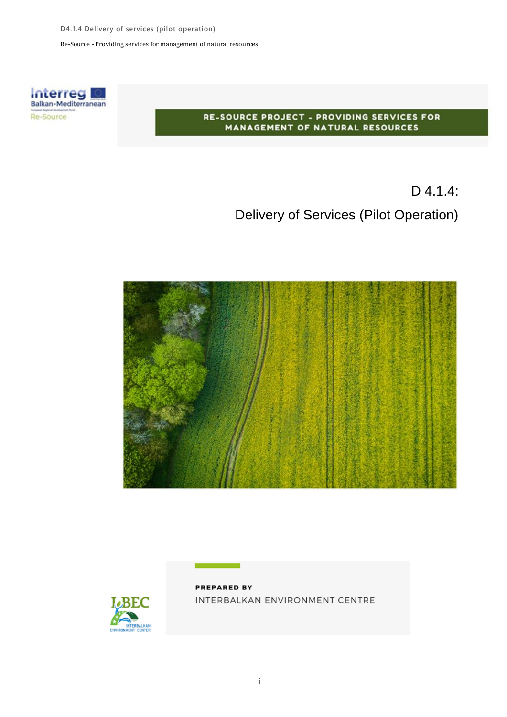Re-Source - Providing services for management of natural resources



#### RE-SOURCE PROJECT - PROVIDING SERVICES FOR MANAGEMENT OF NATURAL RESOURCES

# D 4.1.4: Delivery of Services (Pilot Operation)





**PREPARED BY** INTERBALKAN ENVIRONMENT CENTRE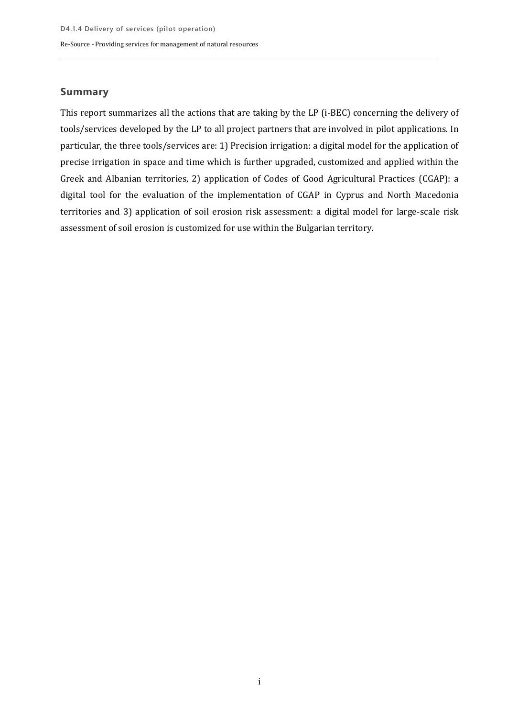### **Summary**

This report summarizes all the actions that are taking by the LP (i-BEC) concerning the delivery of tools/services developed by the LP to all project partners that are involved in pilot applications. In particular, the three tools/services are: 1) Precision irrigation: a digital model for the application of precise irrigation in space and time which is further upgraded, customized and applied within the Greek and Albanian territories, 2) application of Codes of Good Agricultural Practices (CGAP): a digital tool for the evaluation of the implementation of CGAP in Cyprus and North Macedonia territories and 3) application of soil erosion risk assessment: a digital model for large-scale risk assessment of soil erosion is customized for use within the Bulgarian territory.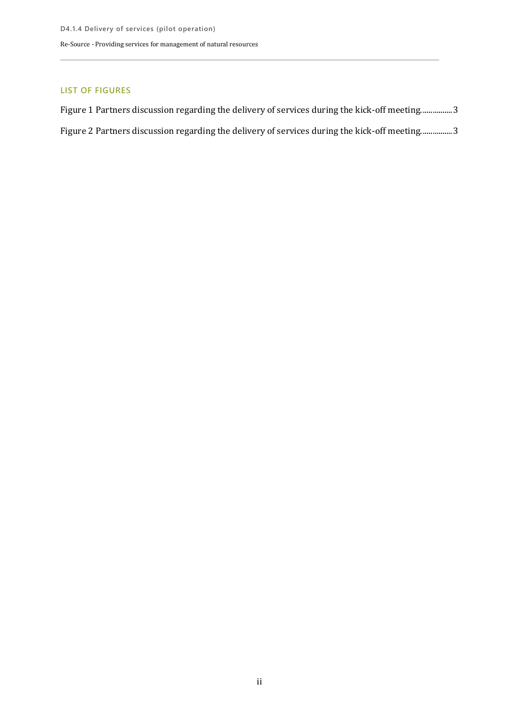#### **LIST OF FIGURES**

| Figure 1 Partners discussion regarding the delivery of services during the kick-off meeting3 |
|----------------------------------------------------------------------------------------------|
| Figure 2 Partners discussion regarding the delivery of services during the kick-off meeting3 |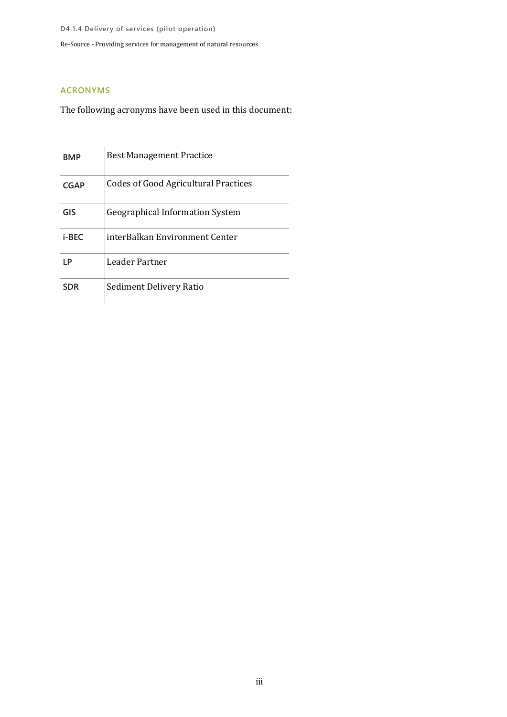### **ACRONYMS**

The following acronyms have been used in this document:

| <b>BMP</b>  | <b>Best Management Practice</b>             |
|-------------|---------------------------------------------|
| <b>CGAP</b> | <b>Codes of Good Agricultural Practices</b> |
| GIS         | <b>Geographical Information System</b>      |
| i-BEC       | interBalkan Environment Center              |
| ΙP          | Leader Partner                              |
| SDR         | Sediment Delivery Ratio                     |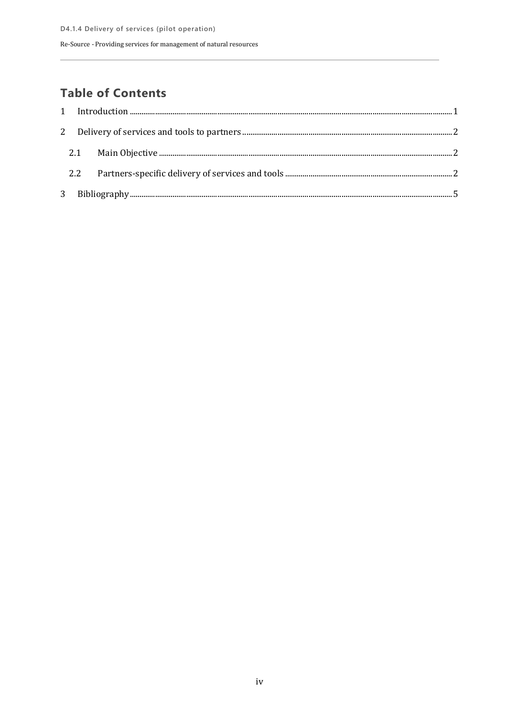### **Table of Contents**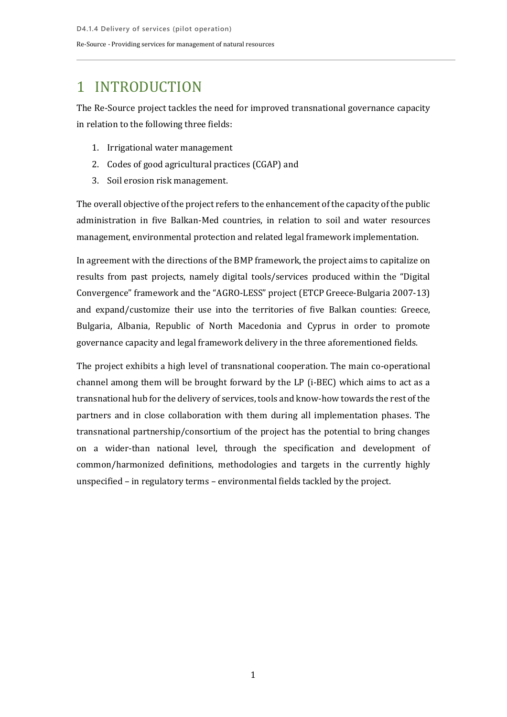### <span id="page-5-0"></span>1 INTRODUCTION

The Re-Source project tackles the need for improved transnational governance capacity in relation to the following three fields:

- 1. Irrigational water management
- 2. Codes of good agricultural practices (CGAP) and
- 3. Soil erosion risk management.

The overall objective of the project refers to the enhancement of the capacity of the public administration in five Balkan-Med countries, in relation to soil and water resources management, environmental protection and related legal framework implementation.

In agreement with the directions of the BMP framework, the project aims to capitalize on results from past projects, namely digital tools/services produced within the "Digital Convergence" framework and the "AGRO-LESS" project (ETCP Greece-Bulgaria 2007-13) and expand/customize their use into the territories of five Balkan counties: Greece, Bulgaria, Albania, Republic of North Macedonia and Cyprus in order to promote governance capacity and legal framework delivery in the three aforementioned fields.

The project exhibits a high level of transnational cooperation. The main co-operational channel among them will be brought forward by the LP (i-BEC) which aims to act as a transnational hub for the delivery of services, tools and know-how towards the rest of the partners and in close collaboration with them during all implementation phases. The transnational partnership/consortium of the project has the potential to bring changes on a wider-than national level, through the specification and development of common/harmonized definitions, methodologies and targets in the currently highly unspecified – in regulatory terms – environmental fields tackled by the project.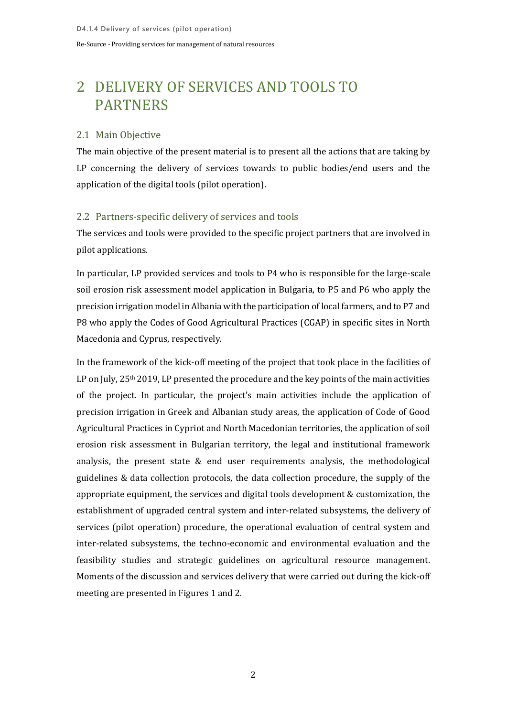## <span id="page-6-0"></span>2 DELIVERY OF SERVICES AND TOOLS TO PARTNERS

### <span id="page-6-1"></span>2.1 Main Objective

The main objective of the present material is to present all the actions that are taking by LP concerning the delivery of services towards to public bodies/end users and the application of the digital tools (pilot operation).

### <span id="page-6-2"></span>2.2 Partners-specific delivery of services and tools

The services and tools were provided to the specific project partners that are involved in pilot applications.

In particular, LP provided services and tools to P4 who is responsible for the large-scale soil erosion risk assessment model application in Bulgaria, to P5 and P6 who apply the precision irrigation model in Albania with the participation of local farmers, and to P7 and P8 who apply the Codes of Good Agricultural Practices (CGAP) in specific sites in North Macedonia and Cyprus, respectively.

In the framework of the kick-off meeting of the project that took place in the facilities of LP on July, 25<sup>th</sup> 2019, LP presented the procedure and the key points of the main activities of the project. In particular, the project's main activities include the application of precision irrigation in Greek and Albanian study areas, the application of Code of Good Agricultural Practices in Cypriot and North Macedonian territories, the application of soil erosion risk assessment in Bulgarian territory, the legal and institutional framework analysis, the present state & end user requirements analysis, the methodological guidelines & data collection protocols, the data collection procedure, the supply of the appropriate equipment, the services and digital tools development & customization, the establishment of upgraded central system and inter-related subsystems, the delivery of services (pilot operation) procedure, the operational evaluation of central system and inter-related subsystems, the techno-economic and environmental evaluation and the feasibility studies and strategic guidelines on agricultural resource management. Moments of the discussion and services delivery that were carried out during the kick-off meeting are presented in Figures 1 and 2.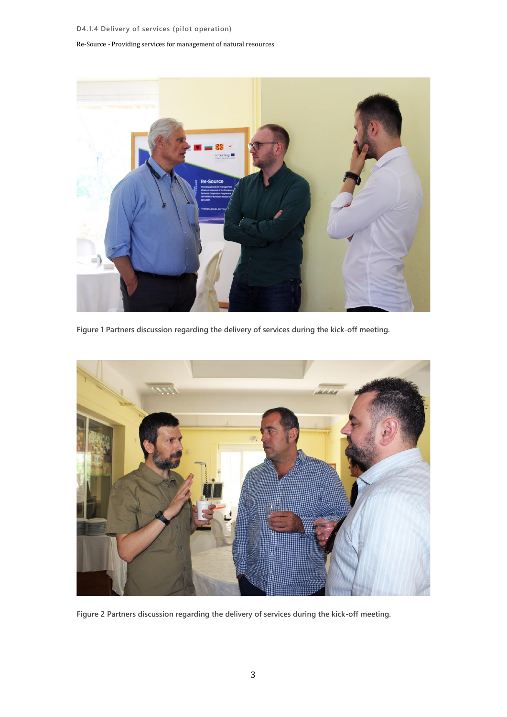#### Re-Source - Providing services for management of natural resources



**Figure 1 Partners discussion regarding the delivery of services during the kick-off meeting.**

<span id="page-7-1"></span><span id="page-7-0"></span>

**Figure 2 Partners discussion regarding the delivery of services during the kick-off meeting.**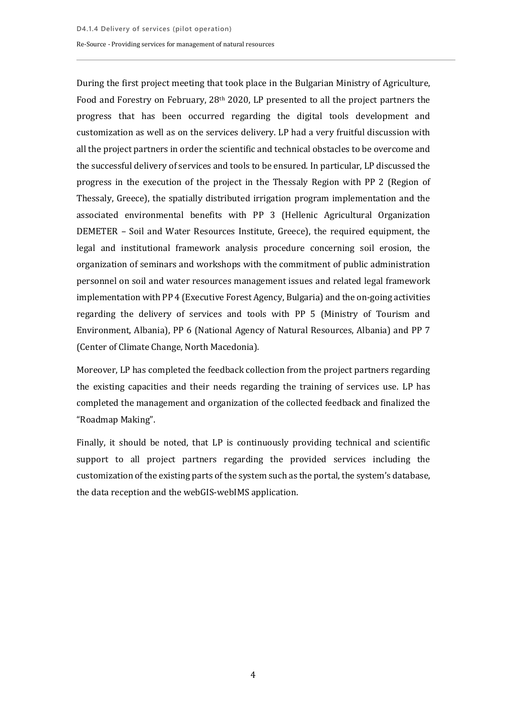During the first project meeting that took place in the Bulgarian Ministry of Agriculture, Food and Forestry on February, 28<sup>th</sup> 2020, LP presented to all the project partners the progress that has been occurred regarding the digital tools development and customization as well as on the services delivery. LP had a very fruitful discussion with all the project partners in order the scientific and technical obstacles to be overcome and the successful delivery of services and tools to be ensured. In particular, LP discussed the progress in the execution of the project in the Thessaly Region with PP 2 (Region of Thessaly, Greece), the spatially distributed irrigation program implementation and the associated environmental benefits with PP 3 (Hellenic Agricultural Organization DEMETER – Soil and Water Resources Institute, Greece), the required equipment, the legal and institutional framework analysis procedure concerning soil erosion, the organization of seminars and workshops with the commitment of public administration personnel on soil and water resources management issues and related legal framework implementation with PP 4 (Executive Forest Agency, Bulgaria) and the on-going activities regarding the delivery of services and tools with PP 5 (Ministry of Tourism and Environment, Albania), PP 6 (National Agency of Natural Resources, Albania) and PP 7 (Center of Climate Change, North Macedonia).

Moreover, LP has completed the feedback collection from the project partners regarding the existing capacities and their needs regarding the training of services use. LP has completed the management and organization of the collected feedback and finalized the "Roadmap Making".

Finally, it should be noted, that LP is continuously providing technical and scientific support to all project partners regarding the provided services including the customization of the existing parts of the system such as the portal, the system's database, the data reception and the webGIS-webIMS application.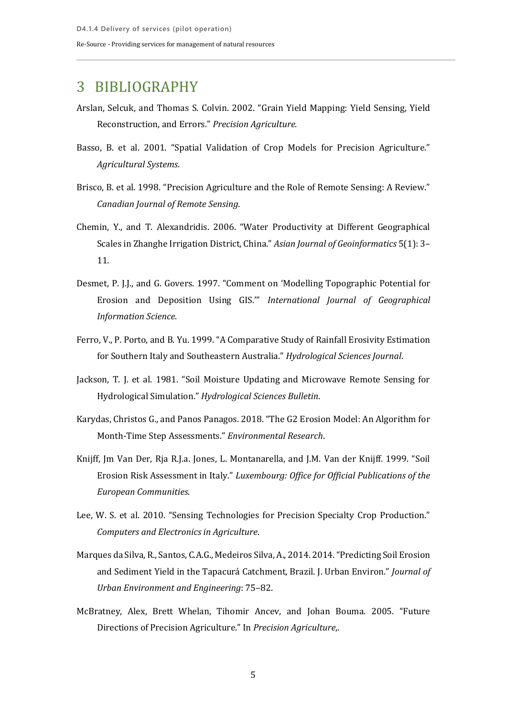### <span id="page-9-0"></span>3 BIBLIOGRAPHY

- Arslan, Selcuk, and Thomas S. Colvin. 2002. "Grain Yield Mapping: Yield Sensing, Yield Reconstruction, and Errors." *Precision Agriculture*.
- Basso, B. et al. 2001. "Spatial Validation of Crop Models for Precision Agriculture." *Agricultural Systems*.
- Brisco, B. et al. 1998. "Precision Agriculture and the Role of Remote Sensing: A Review." *Canadian Journal of Remote Sensing*.
- Chemin, Y., and T. Alexandridis. 2006. "Water Productivity at Different Geographical Scales in Zhanghe Irrigation District, China." *Asian Journal of Geoinformatics* 5(1): 3– 11.
- Desmet, P. J.J., and G. Govers. 1997. "Comment on 'Modelling Topographic Potential for Erosion and Deposition Using GIS.'" *International Journal of Geographical Information Science*.
- Ferro, V., P. Porto, and B. Yu. 1999. "A Comparative Study of Rainfall Erosivity Estimation for Southern Italy and Southeastern Australia." *Hydrological Sciences Journal*.
- Jackson, T. J. et al. 1981. "Soil Moisture Updating and Microwave Remote Sensing for Hydrological Simulation." *Hydrological Sciences Bulletin*.
- Karydas, Christos G., and Panos Panagos. 2018. "The G2 Erosion Model: An Algorithm for Month-Time Step Assessments." *Environmental Research*.
- Knijff, Jm Van Der, Rja R.J.a. Jones, L. Montanarella, and J.M. Van der Knijff. 1999. "Soil Erosion Risk Assessment in Italy." *Luxembourg: Office for Official Publications of the European Communities*.
- Lee, W. S. et al. 2010. "Sensing Technologies for Precision Specialty Crop Production." *Computers and Electronics in Agriculture*.
- Marques da Silva, R., Santos, C.A.G., Medeiros Silva, A., 2014. 2014. "Predicting Soil Erosion and Sediment Yield in the Tapacurá Catchment, Brazil. J. Urban Environ." *Journal of Urban Environment and Engineering*: 75–82.
- McBratney, Alex, Brett Whelan, Tihomir Ancev, and Johan Bouma. 2005. "Future Directions of Precision Agriculture." In *Precision Agriculture*,.